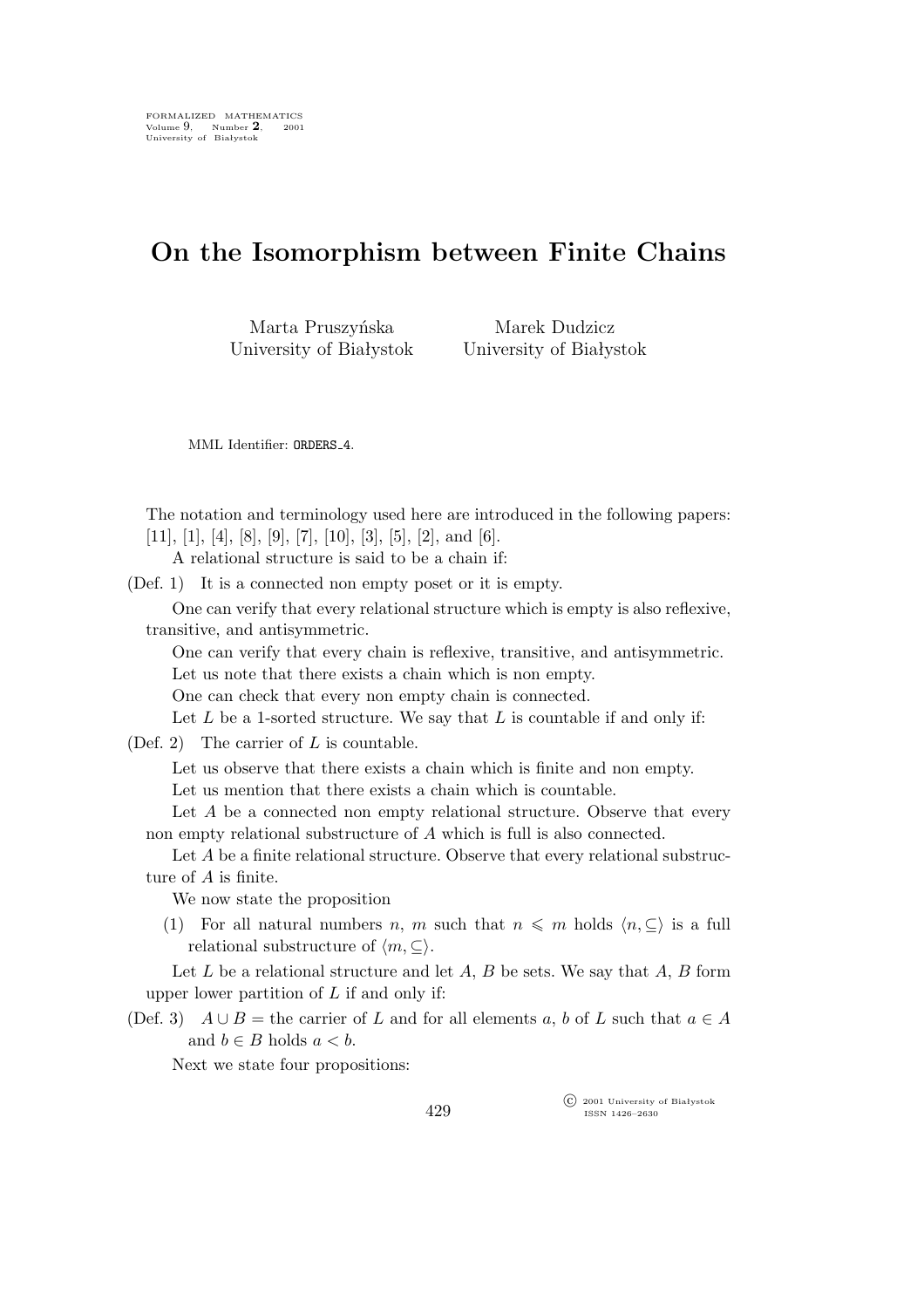## **On the Isomorphism between Finite Chains**

Marta Pruszyńska University of Białystok

Marek Dudzicz University of Białystok

MML Identifier: ORDERS\_4.

The notation and terminology used here are introduced in the following papers:  $[11], [1], [4], [8], [9], [7], [10], [3], [5], [2], \text{and } [6].$ 

A relational structure is said to be a chain if:

(Def. 1) It is a connected non empty poset or it is empty.

One can verify that every relational structure which is empty is also reflexive, transitive, and antisymmetric.

One can verify that every chain is reflexive, transitive, and antisymmetric. Let us note that there exists a chain which is non empty.

One can check that every non empty chain is connected.

Let  $L$  be a 1-sorted structure. We say that  $L$  is countable if and only if:

(Def. 2) The carrier of  $L$  is countable.

Let us observe that there exists a chain which is finite and non empty.

Let us mention that there exists a chain which is countable.

Let A be a connected non empty relational structure. Observe that every non empty relational substructure of A which is full is also connected.

Let A be a finite relational structure. Observe that every relational substructure of A is finite.

We now state the proposition

(1) For all natural numbers *n*, *m* such that  $n \leq m$  holds  $\langle n, \subseteq \rangle$  is a full relational substructure of  $\langle m, \subseteq \rangle$ .

Let  $L$  be a relational structure and let  $A, B$  be sets. We say that  $A, B$  form upper lower partition of  $L$  if and only if:

(Def. 3)  $A \cup B$  = the carrier of L and for all elements a, b of L such that  $a \in A$ and  $b \in B$  holds  $a < b$ .

Next we state four propositions:

°c 2001 University of Białystok ISSN 1426–2630